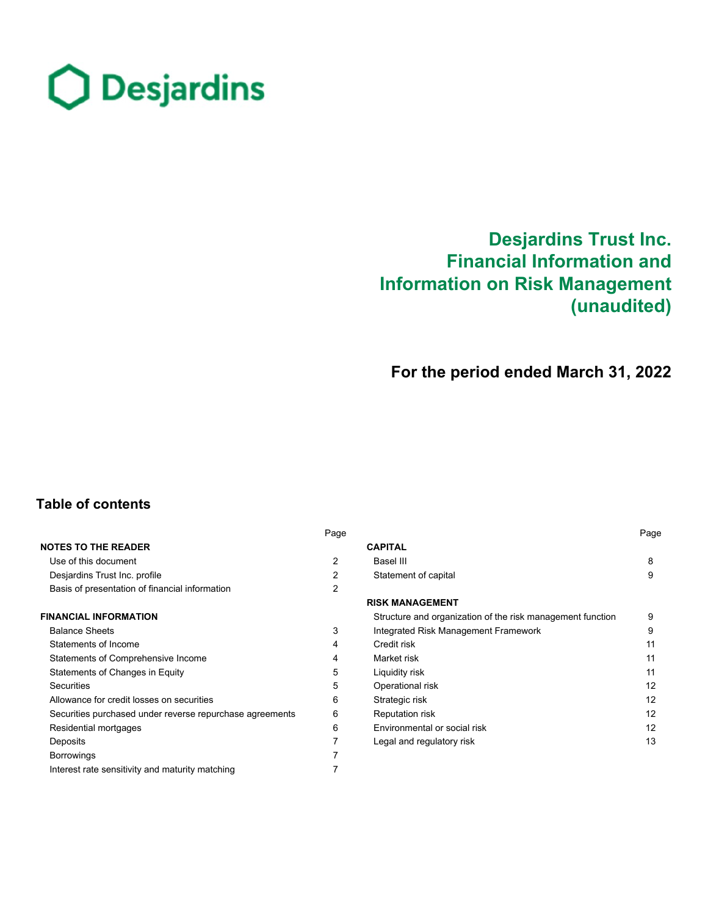# O Desjardins

# **Desjardins Trust Inc. Financial Information and Information on Risk Management (unaudited)**

## **For the period ended March 31, 2022**

## **Table of contents**

| <b>NOTES TO THE READER</b>                               |                | <b>CAPITAL</b> |
|----------------------------------------------------------|----------------|----------------|
| Use of this document                                     | 2              | Basel III      |
| Desjardins Trust Inc. profile                            | 2              | Stateme        |
| Basis of presentation of financial information           | $\overline{2}$ |                |
|                                                          |                | <b>RISK MA</b> |
| <b>FINANCIAL INFORMATION</b>                             |                | Structur       |
| <b>Balance Sheets</b>                                    | 3              | Integrate      |
| Statements of Income                                     | 4              | Credit ri      |
| Statements of Comprehensive Income                       | 4              | Market i       |
| Statements of Changes in Equity                          | 5              | Liquidity      |
| Securities                                               | 5              | Operatio       |
| Allowance for credit losses on securities                | 6              | Strategi       |
| Securities purchased under reverse repurchase agreements | 6              | Reputat        |
| Residential mortgages                                    | 6              | Environ        |
| Deposits                                                 | 7              | Legal ar       |
| <b>Borrowings</b>                                        | 7              |                |
| Interest rate sensitivity and maturity matching          | 7              |                |

|                                                          | Page |                                                            | Page |
|----------------------------------------------------------|------|------------------------------------------------------------|------|
| <b>NOTES TO THE READER</b>                               |      | <b>CAPITAL</b>                                             |      |
| Use of this document                                     | 2    | <b>Basel III</b>                                           | 8    |
| Desjardins Trust Inc. profile                            |      | Statement of capital                                       | 9    |
| Basis of presentation of financial information           | 2    |                                                            |      |
|                                                          |      | <b>RISK MANAGEMENT</b>                                     |      |
| FINANCIAL INFORMATION                                    |      | Structure and organization of the risk management function | 9    |
| <b>Balance Sheets</b>                                    | 3    | Integrated Risk Management Framework                       | 9    |
| Statements of Income                                     | 4    | Credit risk                                                | 11   |
| Statements of Comprehensive Income                       | 4    | Market risk                                                | 11   |
| Statements of Changes in Equity                          | 5    | Liquidity risk                                             | 11   |
| Securities                                               | 5    | Operational risk                                           | 12   |
| Allowance for credit losses on securities                | 6    | Strategic risk                                             | 12   |
| Securities purchased under reverse repurchase agreements | 6    | Reputation risk                                            | 12   |
| Residential mortgages                                    | 6    | Environmental or social risk                               | 12   |
| Deposits                                                 |      | Legal and regulatory risk                                  | 13   |
| n - ------------                                         |      |                                                            |      |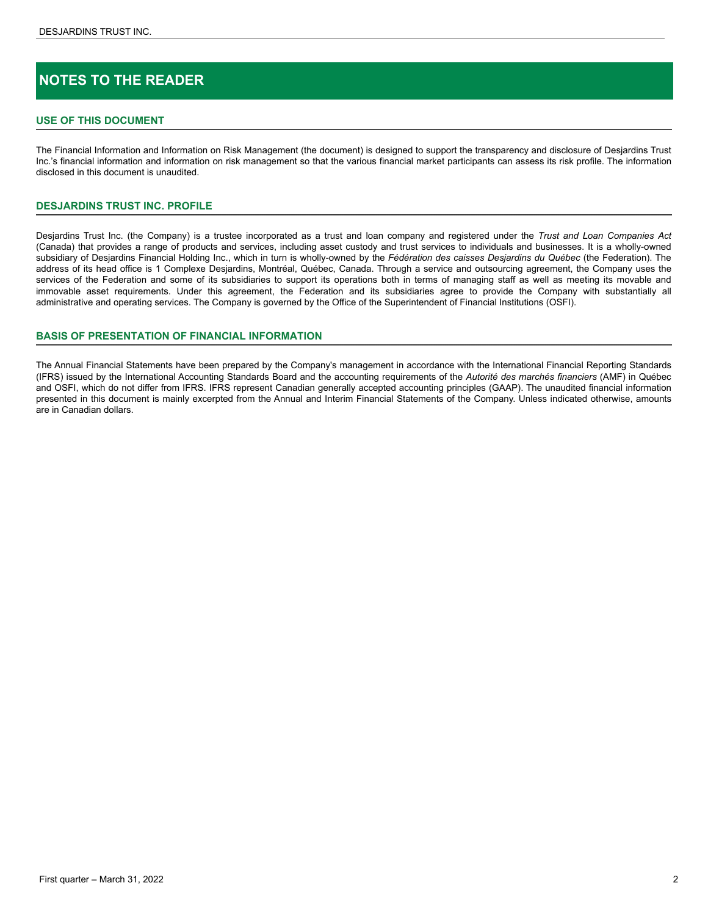## <span id="page-1-0"></span>**NOTES TO THE READER**

#### **USE OF THIS DOCUMENT**

The Financial Information and Information on Risk Management (the document) is designed to support the transparency and disclosure of Desjardins Trust Inc.'s financial information and information on risk management so that the various financial market participants can assess its risk profile. The information disclosed in this document is unaudited.

#### **DESJARDINS TRUST INC. PROFILE**

Desjardins Trust Inc. (the Company) is a trustee incorporated as a trust and loan company and registered under the *Trust and Loan Companies Act*  (Canada) that provides a range of products and services, including asset custody and trust services to individuals and businesses. It is a wholly-owned subsidiary of Desjardins Financial Holding Inc., which in turn is wholly-owned by the *Fédération des caisses Desjardins du Québec* (the Federation). The address of its head office is 1 Complexe Desjardins, Montréal, Québec, Canada. Through a service and outsourcing agreement, the Company uses the services of the Federation and some of its subsidiaries to support its operations both in terms of managing staff as well as meeting its movable and immovable asset requirements. Under this agreement, the Federation and its subsidiaries agree to provide the Company with substantially all administrative and operating services. The Company is governed by the Office of the Superintendent of Financial Institutions (OSFI).

#### **BASIS OF PRESENTATION OF FINANCIAL INFORMATION**

The Annual Financial Statements have been prepared by the Company's management in accordance with the International Financial Reporting Standards (IFRS) issued by the International Accounting Standards Board and the accounting requirements of the *Autorité des marchés financiers* (AMF) in Québec and OSFI, which do not differ from IFRS. IFRS represent Canadian generally accepted accounting principles (GAAP). The unaudited financial information presented in this document is mainly excerpted from the Annual and Interim Financial Statements of the Company. Unless indicated otherwise, amounts are in Canadian dollars.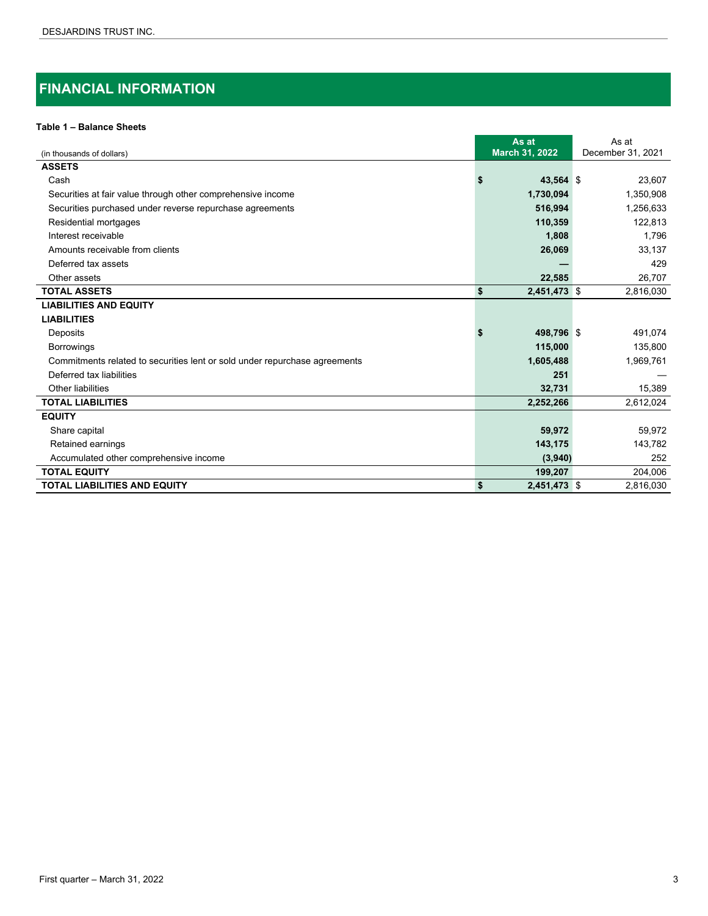## <span id="page-2-0"></span>**FINANCIAL INFORMATION**

#### **Table 1 – Balance Sheets**

|                                                                            | As at              | As at             |
|----------------------------------------------------------------------------|--------------------|-------------------|
| (in thousands of dollars)                                                  | March 31, 2022     | December 31, 2021 |
| <b>ASSETS</b>                                                              |                    |                   |
| Cash                                                                       | \$<br>43,564 \$    | 23,607            |
| Securities at fair value through other comprehensive income                | 1,730,094          | 1,350,908         |
| Securities purchased under reverse repurchase agreements                   | 516,994            | 1,256,633         |
| Residential mortgages                                                      | 110,359            | 122,813           |
| Interest receivable                                                        | 1,808              | 1,796             |
| Amounts receivable from clients                                            | 26,069             | 33,137            |
| Deferred tax assets                                                        |                    | 429               |
| Other assets                                                               | 22,585             | 26,707            |
| <b>TOTAL ASSETS</b>                                                        | \$<br>2,451,473 \$ | 2,816,030         |
| <b>LIABILITIES AND EQUITY</b>                                              |                    |                   |
| <b>LIABILITIES</b>                                                         |                    |                   |
| Deposits                                                                   | \$<br>498,796 \$   | 491,074           |
| <b>Borrowings</b>                                                          | 115,000            | 135,800           |
| Commitments related to securities lent or sold under repurchase agreements | 1,605,488          | 1,969,761         |
| Deferred tax liabilities                                                   | 251                |                   |
| Other liabilities                                                          | 32,731             | 15,389            |
| <b>TOTAL LIABILITIES</b>                                                   | 2,252,266          | 2,612,024         |
| <b>EQUITY</b>                                                              |                    |                   |
| Share capital                                                              | 59,972             | 59,972            |
| Retained earnings                                                          | 143,175            | 143,782           |
| Accumulated other comprehensive income                                     | (3,940)            | 252               |
| <b>TOTAL EQUITY</b>                                                        | 199,207            | 204,006           |
| <b>TOTAL LIABILITIES AND EQUITY</b>                                        | \$<br>2,451,473 \$ | 2,816,030         |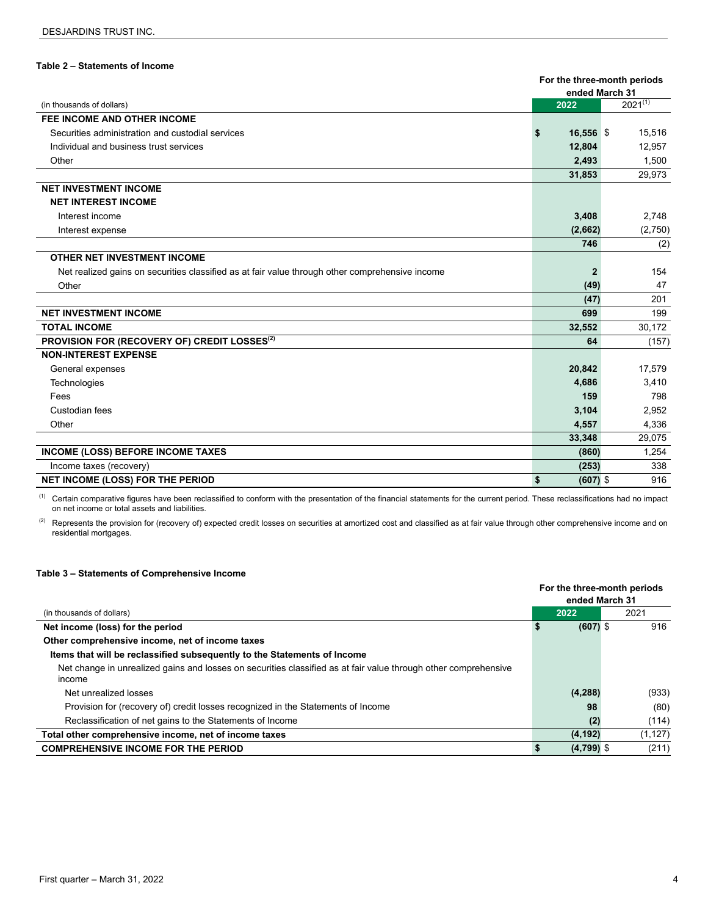#### <span id="page-3-0"></span>**Table 2 – Statements of Income**

|                                                                                                 | For the three-month periods |              |
|-------------------------------------------------------------------------------------------------|-----------------------------|--------------|
|                                                                                                 | ended March 31              |              |
| (in thousands of dollars)                                                                       | 2022                        | $2021^{(1)}$ |
| FEE INCOME AND OTHER INCOME                                                                     |                             |              |
| Securities administration and custodial services                                                | \$<br>16,556 \$             | 15,516       |
| Individual and business trust services                                                          | 12.804                      | 12,957       |
| Other                                                                                           | 2.493                       | 1,500        |
|                                                                                                 | 31,853                      | 29,973       |
| <b>NET INVESTMENT INCOME</b>                                                                    |                             |              |
| <b>NET INTEREST INCOME</b>                                                                      |                             |              |
| Interest income                                                                                 | 3,408                       | 2,748        |
| Interest expense                                                                                | (2,662)                     | (2,750)      |
|                                                                                                 | 746                         | (2)          |
| <b>OTHER NET INVESTMENT INCOME</b>                                                              |                             |              |
| Net realized gains on securities classified as at fair value through other comprehensive income | $\overline{2}$              | 154          |
| Other                                                                                           | (49)                        | 47           |
|                                                                                                 | (47)                        | 201          |
| <b>NET INVESTMENT INCOME</b>                                                                    | 699                         | 199          |
| <b>TOTAL INCOME</b>                                                                             | 32,552                      | 30,172       |
| <b>PROVISION FOR (RECOVERY OF) CREDIT LOSSES<sup>(2)</sup></b>                                  | 64                          | (157)        |
| <b>NON-INTEREST EXPENSE</b>                                                                     |                             |              |
| General expenses                                                                                | 20,842                      | 17,579       |
| Technologies                                                                                    | 4,686                       | 3,410        |
| Fees                                                                                            | 159                         | 798          |
| Custodian fees                                                                                  | 3,104                       | 2,952        |
| Other                                                                                           | 4,557                       | 4,336        |
|                                                                                                 | 33,348                      | 29,075       |
| <b>INCOME (LOSS) BEFORE INCOME TAXES</b>                                                        | (860)                       | 1,254        |
| Income taxes (recovery)                                                                         | (253)                       | 338          |
| <b>NET INCOME (LOSS) FOR THE PERIOD</b>                                                         | \$<br>$(607)$ \$            | 916          |

 $<sup>(1)</sup>$  Certain comparative figures have been reclassified to conform with the presentation of the financial statements for the current period. These reclassifications had no impact</sup> on net income or total assets and liabilities.

(2) Represents the provision for (recovery of) expected credit losses on securities at amortized cost and classified as at fair value through other comprehensive income and on residential mortgages.

#### **Table 3 – Statements of Comprehensive Income**

|                                                                                                                           |                 | For the three-month periods<br>ended March 31 |
|---------------------------------------------------------------------------------------------------------------------------|-----------------|-----------------------------------------------|
| (in thousands of dollars)                                                                                                 | 2022            | 2021                                          |
| Net income (loss) for the period                                                                                          | $(607)$ \$<br>S | 916                                           |
| Other comprehensive income, net of income taxes                                                                           |                 |                                               |
| Items that will be reclassified subsequently to the Statements of Income                                                  |                 |                                               |
| Net change in unrealized gains and losses on securities classified as at fair value through other comprehensive<br>income |                 |                                               |
| Net unrealized losses                                                                                                     | (4, 288)        | (933)                                         |
| Provision for (recovery of) credit losses recognized in the Statements of Income                                          | 98              | (80)                                          |
| Reclassification of net gains to the Statements of Income                                                                 | (2)             | (114)                                         |
| Total other comprehensive income, net of income taxes                                                                     | (4, 192)        | (1, 127)                                      |
| <b>COMPREHENSIVE INCOME FOR THE PERIOD</b>                                                                                | $(4,799)$ \$    | (211)                                         |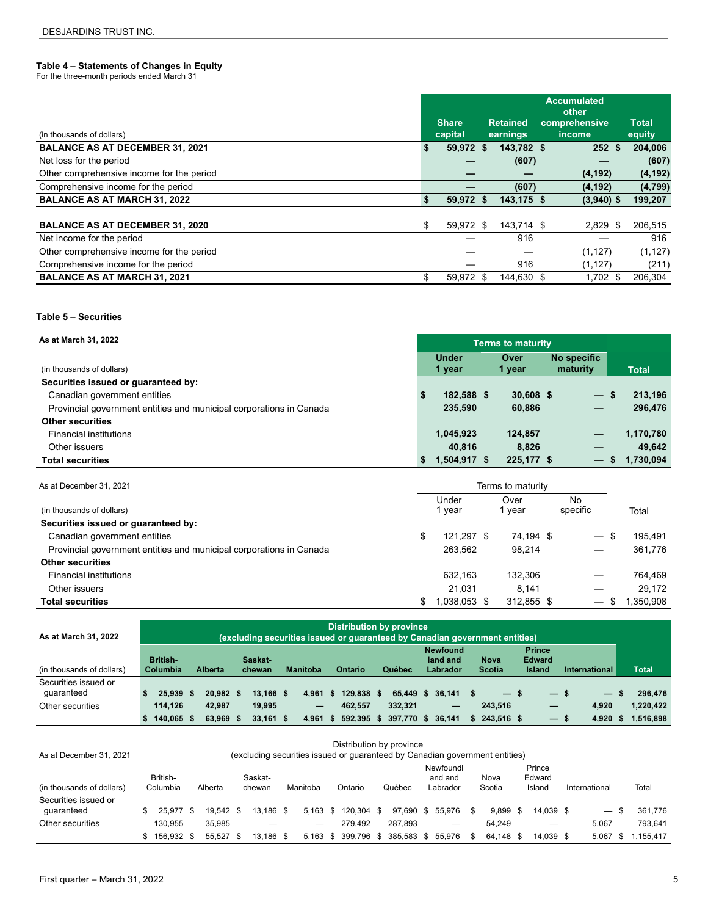#### <span id="page-4-0"></span>**Table 4 – Statements of Changes in Equity**

For the three-month periods ended March 31

|                                           |    |              |                 | <b>Accumulated</b><br>other |              |
|-------------------------------------------|----|--------------|-----------------|-----------------------------|--------------|
|                                           |    | <b>Share</b> | <b>Retained</b> | comprehensive               | <b>Total</b> |
| (in thousands of dollars)                 |    | capital      | earnings        | income                      | equity       |
| <b>BALANCE AS AT DECEMBER 31, 2021</b>    | S  | 59.972 \$    | 143.782 \$      | 252 <sup>5</sup>            | 204,006      |
| Net loss for the period                   |    |              | (607)           |                             | (607)        |
| Other comprehensive income for the period |    |              |                 | (4, 192)                    | (4, 192)     |
| Comprehensive income for the period       |    |              | (607)           | (4, 192)                    | (4,799)      |
| <b>BALANCE AS AT MARCH 31, 2022</b>       | S  | 59.972 \$    | 143,175 \$      | $(3,940)$ \$                | 199,207      |
|                                           | \$ |              | 143.714 \$      | $2,829$ \$                  | 206,515      |
| <b>BALANCE AS AT DECEMBER 31, 2020</b>    |    | 59,972 \$    |                 |                             |              |
| Net income for the period                 |    |              | 916             |                             | 916          |
| Other comprehensive income for the period |    |              |                 | (1, 127)                    | (1, 127)     |
| Comprehensive income for the period       |    |              | 916             | (1, 127)                    | (211)        |
| <b>BALANCE AS AT MARCH 31, 2021</b>       | \$ | 59.972 \$    | 144,630 \$      | $1.702$ \$                  | 206,304      |

#### **Table 5 – Securities**

| As at March 31, 2022                                                |   |              | <b>Terms to maturity</b> |                          |              |
|---------------------------------------------------------------------|---|--------------|--------------------------|--------------------------|--------------|
|                                                                     |   | <b>Under</b> | Over                     | No specific              |              |
| (in thousands of dollars)                                           |   | 1 year       | 1 year                   | maturity                 | <b>Total</b> |
| Securities issued or guaranteed by:                                 |   |              |                          |                          |              |
| Canadian government entities                                        | S | 182,588 \$   | $30,608$ \$              | $-s$                     | 213,196      |
| Provincial government entities and municipal corporations in Canada |   | 235,590      | 60,886                   | –                        | 296,476      |
| <b>Other securities</b>                                             |   |              |                          |                          |              |
| <b>Financial institutions</b>                                       |   | 1,045,923    | 124,857                  | $\overline{\phantom{m}}$ | 1,170,780    |
| Other issuers                                                       |   | 40.816       | 8.826                    |                          | 49,642       |
| <b>Total securities</b>                                             | S | 1,504,917 \$ | 225,177 \$               | $\qquad \qquad -$        | 1,730,094    |
|                                                                     |   |              |                          |                          |              |
| $A_0$ of December 21, 2021                                          |   |              | Taxma ta maturity        |                          |              |

| As at December 31, 2021                                             | Terms to maturity |                |  |            |  |                               |           |
|---------------------------------------------------------------------|-------------------|----------------|--|------------|--|-------------------------------|-----------|
|                                                                     |                   | Under          |  | Over       |  | No                            |           |
| (in thousands of dollars)                                           |                   | l year         |  | l vear     |  | specific                      | Total     |
| Securities issued or guaranteed by:                                 |                   |                |  |            |  |                               |           |
| Canadian government entities                                        |                   | 121.297 \$     |  | 74.194 \$  |  | \$.                           | 195.491   |
| Provincial government entities and municipal corporations in Canada |                   | 263.562        |  | 98,214     |  |                               | 361,776   |
| <b>Other securities</b>                                             |                   |                |  |            |  |                               |           |
| <b>Financial institutions</b>                                       |                   | 632.163        |  | 132.306    |  |                               | 764.469   |
| Other issuers                                                       |                   | 21.031         |  | 8.141      |  |                               | 29.172    |
| <b>Total securities</b>                                             |                   | $0.038,053$ \$ |  | 312,855 \$ |  | $\overbrace{\phantom{13333}}$ | 1,350,908 |

| As at March 31, 2022               | <b>Distribution by province</b><br>(excluding securities issued or quaranteed by Canadian government entities) |                                    |  |                |  |                   |  |                 |  |            |  |            |  |                                         |   |                              |                                                 |      |               |              |
|------------------------------------|----------------------------------------------------------------------------------------------------------------|------------------------------------|--|----------------|--|-------------------|--|-----------------|--|------------|--|------------|--|-----------------------------------------|---|------------------------------|-------------------------------------------------|------|---------------|--------------|
| (in thousands of dollars)          |                                                                                                                | <b>British-</b><br><b>Columbia</b> |  | <b>Alberta</b> |  | Saskat-<br>chewan |  | <b>Manitoba</b> |  | Ontario    |  | Québec     |  | <b>Newfound</b><br>land and<br>Labrador |   | <b>Nova</b><br><b>Scotia</b> | <b>Prince</b><br><b>Edward</b><br><b>Island</b> |      | International | <b>Total</b> |
| Securities issued or<br>quaranteed |                                                                                                                | 25.939 S                           |  | 20.982 \$      |  | $13.166$ \$       |  | 4.961 S         |  | 129.838 \$ |  | 65.449 \$  |  | 36.141                                  | S | — s                          |                                                 | $-s$ |               | 296.476      |
| Other securities                   |                                                                                                                | 114.126                            |  | 42.987         |  | 19.995            |  | –               |  | 462.557    |  | 332.321    |  | —                                       |   | 243.516                      | $\overline{\phantom{0}}$                        |      | 4.920         | 1,220,422    |
|                                    |                                                                                                                | 140.065 \$                         |  | 63.969 \$      |  | $33.161$ \$       |  | 4.961           |  | 592.395 \$ |  | 397,770 \$ |  | 36.141                                  |   | 243.516 \$                   | $\qquad \qquad \overline{\qquad \qquad }$       | - 5  | 4.920         | 1.516.898    |

| As at December 31, 2021            | Distribution by province<br>(excluding securities issued or quaranteed by Canadian government entities) |      |                     |  |                   |  |          |  |                                           |      |           |  |                                  |    |                     |                            |                   |                     |
|------------------------------------|---------------------------------------------------------------------------------------------------------|------|---------------------|--|-------------------|--|----------|--|-------------------------------------------|------|-----------|--|----------------------------------|----|---------------------|----------------------------|-------------------|---------------------|
| (in thousands of dollars)          | British-<br>Columbia                                                                                    |      | Alberta             |  | Saskat-<br>chewan |  | Manitoba |  | Ontario                                   |      | Québec    |  | Newfoundl<br>and and<br>Labrador |    | Nova<br>Scotia      | Prince<br>Edward<br>Island | International     | Total               |
| Securities issued or<br>quaranteed | 25.977                                                                                                  | - \$ | 19.542 \$           |  | 13.186 \$         |  |          |  | 5.163 \$ 120.304                          | - \$ | 97.690 \$ |  | 55.976                           | £. | 9.899 S             | 14,039 \$                  | $\qquad \qquad -$ | 361.776             |
| Other securities                   | 130.955<br>$$156.932$ \$                                                                                |      | 35.985<br>55.527 \$ |  | 13.186 \$         |  | –        |  | 279.492<br>5.163 \$ 399.796 \$ 385.583 \$ |      | 287.893   |  | –<br>55.976                      | £. | 54.249<br>64.148 \$ | 14.039 \$                  | 5.067<br>5.067    | 793.641<br>.155.417 |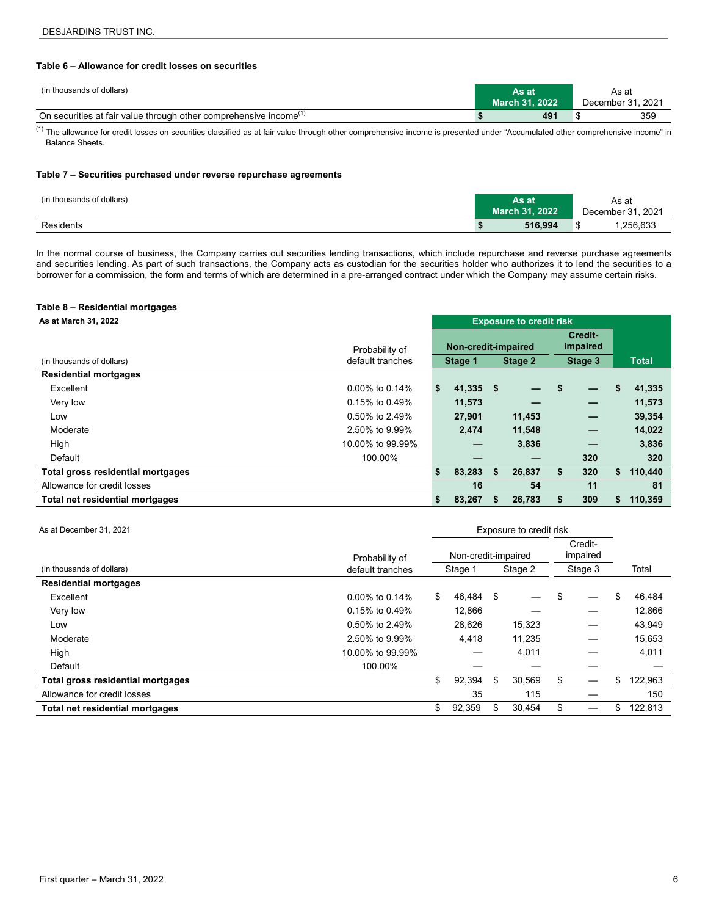#### <span id="page-5-0"></span>**Table 6 – Allowance for credit losses on securities**

| (in thousands of dollars)                                      | As at<br>March 31. 2022 ً | As at<br>December 31, 2021 |
|----------------------------------------------------------------|---------------------------|----------------------------|
| On securities at fair value through other comprehensive income | 491                       | 359                        |

<sup>(1)</sup> The allowance for credit losses on securities classified as at fair value through other comprehensive income is presented under "Accumulated other comprehensive income" in Balance Sheets.

#### **Table 7 – Securities purchased under reverse repurchase agreements**

| (in thousands of dollars) | As at<br>March 31, 2022 , |             | As at<br>December 31, 2021 |
|---------------------------|---------------------------|-------------|----------------------------|
| Residents                 | 516.994                   | $\sim$<br>D | ,256,633                   |

In the normal course of business, the Company carries out securities lending transactions, which include repurchase and reverse purchase agreements and securities lending. As part of such transactions, the Company acts as custodian for the securities holder who authorizes it to lend the securities to a borrower for a commission, the form and terms of which are determined in a pre-arranged contract under which the Company may assume certain risks.

#### **Table 8 – Residential mortgages**

| As at March 31, 2022              |                      |    |                     |    |        |    |          |          |           |  |  |              |
|-----------------------------------|----------------------|----|---------------------|----|--------|----|----------|----------|-----------|--|--|--------------|
|                                   |                      |    |                     |    |        |    | Credit-  |          |           |  |  |              |
|                                   | Probability of       |    | Non-credit-impaired |    |        |    | impaired |          |           |  |  |              |
| (in thousands of dollars)         | default tranches     |    | Stage 2<br>Stage 1  |    |        |    |          |          | Stage 3   |  |  | <b>Total</b> |
| <b>Residential mortgages</b>      |                      |    |                     |    |        |    |          |          |           |  |  |              |
| Excellent                         | $0.00\%$ to 0.14%    | S  | $41,335$ \$         |    |        | \$ | —        | S        | 41,335    |  |  |              |
| Very low                          | $0.15\%$ to $0.49\%$ |    | 11,573              |    |        |    | —        |          | 11,573    |  |  |              |
| Low                               | $0.50\%$ to 2.49%    |    | 27,901              |    | 11,453 |    | —        |          | 39,354    |  |  |              |
| Moderate                          | 2.50% to 9.99%       |    | 2,474               |    | 11,548 |    | —        |          | 14,022    |  |  |              |
| High                              | 10,00% to 99.99%     |    |                     |    | 3,836  |    |          |          | 3,836     |  |  |              |
| Default                           | 100.00%              |    |                     |    |        |    | 320      |          | 320       |  |  |              |
| Total gross residential mortgages |                      | \$ | 83,283              | \$ | 26.837 | \$ | 320      |          | \$110,440 |  |  |              |
| Allowance for credit losses       |                      |    | 16                  |    | 54     |    | 11       |          | 81        |  |  |              |
| Total net residential mortgages   |                      | \$ | 83,267              | S  | 26,783 | \$ | 309      | $\sim$ 5 | 110,359   |  |  |              |

| As at December 31, 2021           |                   | Exposure to credit risk |                     |     |         |    |                          |    |         |
|-----------------------------------|-------------------|-------------------------|---------------------|-----|---------|----|--------------------------|----|---------|
|                                   | Probability of    |                         | Non-credit-impaired |     |         |    | Credit-<br>impaired      |    |         |
| (in thousands of dollars)         | default tranches  |                         | Stage 1             |     | Stage 2 |    | Stage 3                  |    | Total   |
| <b>Residential mortgages</b>      |                   |                         |                     |     |         |    |                          |    |         |
| Excellent                         | $0.00\%$ to 0.14% | \$                      | 46.484              | \$  |         | \$ | $\overline{\phantom{0}}$ | \$ | 46,484  |
| Very low                          | $0.15\%$ to 0.49% |                         | 12,866              |     |         |    | —                        |    | 12,866  |
| Low                               | $0.50\%$ to 2.49% |                         | 28,626              |     | 15,323  |    | —                        |    | 43,949  |
| Moderate                          | 2.50% to 9.99%    |                         | 4.418               |     | 11.235  |    | $\overline{\phantom{0}}$ |    | 15,653  |
| High                              | 10,00% to 99.99%  |                         |                     |     | 4.011   |    |                          |    | 4,011   |
| Default                           | 100.00%           |                         |                     |     |         |    |                          |    |         |
| Total gross residential mortgages |                   | \$                      | 92,394              | \$  | 30.569  | \$ |                          | \$ | 122,963 |
| Allowance for credit losses       |                   |                         | 35                  |     | 115     |    |                          |    | 150     |
| Total net residential mortgages   |                   | \$                      | 92,359              | \$. | 30,454  | \$ |                          | \$ | 122,813 |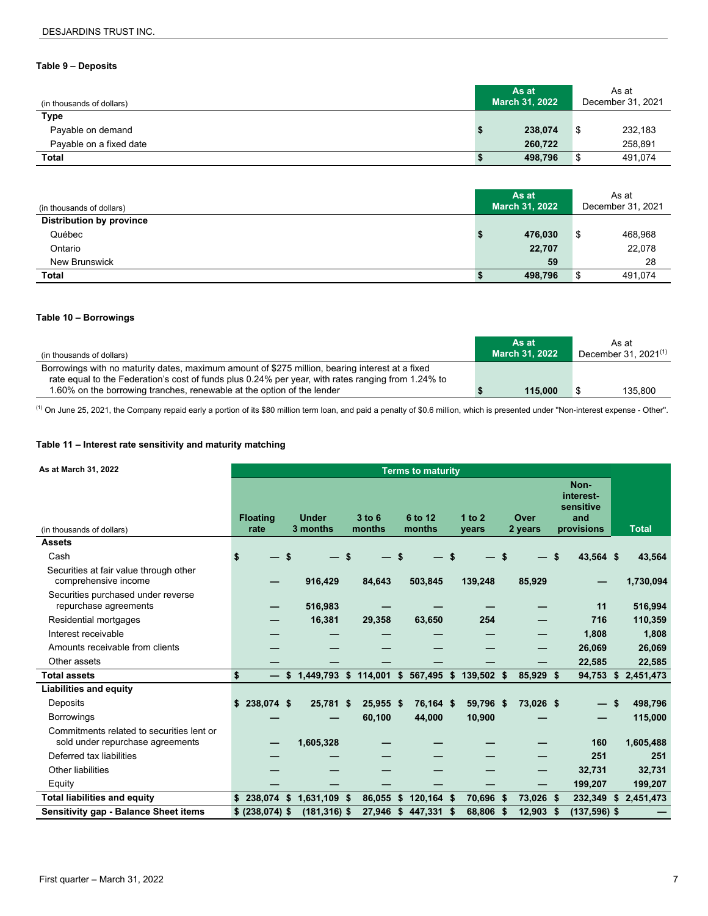#### <span id="page-6-0"></span>**Table 9 – Deposits**

| (in thousands of dollars) | As at<br><b>March 31, 2022</b> |      | As at<br>December 31, 2021 |
|---------------------------|--------------------------------|------|----------------------------|
| Type                      |                                |      |                            |
| Payable on demand         | 238,074                        | - \$ | 232,183                    |
| Payable on a fixed date   | 260,722                        |      | 258.891                    |
| Total                     | 498,796                        | - \$ | 491.074                    |

| (in thousands of dollars)       |   | As at<br>March 31, 2022 |   | As at<br>December 31, 2021 |
|---------------------------------|---|-------------------------|---|----------------------------|
| <b>Distribution by province</b> |   |                         |   |                            |
| Québec                          | л | 476,030                 | S | 468,968                    |
| Ontario                         |   | 22,707                  |   | 22,078                     |
| New Brunswick                   |   | 59                      |   | 28                         |
| Total                           |   | 498,796                 | S | 491.074                    |

#### **Table 10 – Borrowings**

| (in thousands of dollars)                                                                          | As at<br><b>March 31, 2022</b> |    | As at<br>December 31, 2021 $(1)$ |
|----------------------------------------------------------------------------------------------------|--------------------------------|----|----------------------------------|
| Borrowings with no maturity dates, maximum amount of \$275 million, bearing interest at a fixed    |                                |    |                                  |
| rate equal to the Federation's cost of funds plus 0.24% per year, with rates ranging from 1.24% to |                                |    |                                  |
| 1.60% on the borrowing tranches, renewable at the option of the lender                             | 115.000                        | -S | 135.800                          |

(1) On June 25, 2021, the Company repaid early a portion of its \$80 million term loan, and paid a penalty of \$0.6 million, which is presented under "Non-interest expense - Other".

#### **Table 11 – Interest rate sensitivity and maturity matching**

| As at March 31, 2022                                                          | <b>Terms to maturity</b> |  |                              |                      |              |    |                   |      |                 |      |                 |     |                                                     |    |              |
|-------------------------------------------------------------------------------|--------------------------|--|------------------------------|----------------------|--------------|----|-------------------|------|-----------------|------|-----------------|-----|-----------------------------------------------------|----|--------------|
| (in thousands of dollars)                                                     | <b>Floating</b><br>rate  |  | <b>Under</b><br>3 months     | $3$ to $6$<br>months |              |    | 6 to 12<br>months |      | 1 to 2<br>years |      | Over<br>2 years |     | Non-<br>interest-<br>sensitive<br>and<br>provisions |    | <b>Total</b> |
| <b>Assets</b>                                                                 |                          |  |                              |                      |              |    |                   |      |                 |      |                 |     |                                                     |    |              |
| Cash                                                                          | \$                       |  | -\$                          |                      |              | \$ |                   |      |                 |      |                 | \$. | 43,564 \$                                           |    | 43,564       |
| Securities at fair value through other<br>comprehensive income                |                          |  | 916,429                      |                      | 84,643       |    | 503,845           |      | 139,248         |      | 85,929          |     |                                                     |    | 1,730,094    |
| Securities purchased under reverse<br>repurchase agreements                   |                          |  | 516,983                      |                      |              |    |                   |      |                 |      |                 |     | 11                                                  |    | 516,994      |
| Residential mortgages                                                         |                          |  | 16,381                       |                      | 29,358       |    | 63,650            |      | 254             |      |                 |     | 716                                                 |    | 110,359      |
| Interest receivable                                                           |                          |  |                              |                      |              |    |                   |      |                 |      |                 |     | 1,808                                               |    | 1,808        |
| Amounts receivable from clients                                               |                          |  |                              |                      |              |    |                   |      |                 |      |                 |     | 26,069                                              |    | 26,069       |
| Other assets                                                                  |                          |  |                              |                      |              |    |                   |      |                 |      |                 |     | 22,585                                              |    | 22,585       |
| <b>Total assets</b>                                                           | \$                       |  | 1,449,793 \$<br>$\mathbf{s}$ |                      | $114,001$ \$ |    | 567,495 \$        |      | 139,502 \$      |      | 85,929 \$       |     | 94,753 \$                                           |    | 2,451,473    |
| <b>Liabilities and equity</b>                                                 |                          |  |                              |                      |              |    |                   |      |                 |      |                 |     |                                                     |    |              |
| Deposits                                                                      | \$<br>238,074 \$         |  | 25,781 \$                    |                      | 25,955 \$    |    | 76,164 \$         |      | 59,796 \$       |      | 73,026 \$       |     |                                                     | \$ | 498,796      |
| <b>Borrowings</b>                                                             |                          |  |                              |                      | 60,100       |    | 44,000            |      | 10,900          |      |                 |     |                                                     |    | 115,000      |
| Commitments related to securities lent or<br>sold under repurchase agreements |                          |  | 1,605,328                    |                      |              |    |                   |      |                 |      |                 |     | 160                                                 |    | 1,605,488    |
| Deferred tax liabilities                                                      |                          |  |                              |                      |              |    |                   |      |                 |      |                 |     | 251                                                 |    | 251          |
| Other liabilities                                                             |                          |  |                              |                      |              |    |                   |      |                 |      |                 |     | 32,731                                              |    | 32,731       |
| Equity                                                                        |                          |  |                              |                      |              |    |                   |      |                 |      |                 |     | 199,207                                             |    | 199,207      |
| <b>Total liabilities and equity</b>                                           | \$<br>238.074 \$         |  | 1,631,109 \$                 |                      | 86,055       | \$ | 120,164 \$        |      | 70,696 \$       |      | 73,026 \$       |     | 232,349                                             | \$ | 2,451,473    |
| <b>Sensitivity gap - Balance Sheet items</b>                                  | \$ (238,074) \$          |  | $(181, 316)$ \$              |                      | 27,946       |    | \$447,331         | - \$ | 68,806          | - \$ | $12,903$ \$     |     | (137,596) \$                                        |    |              |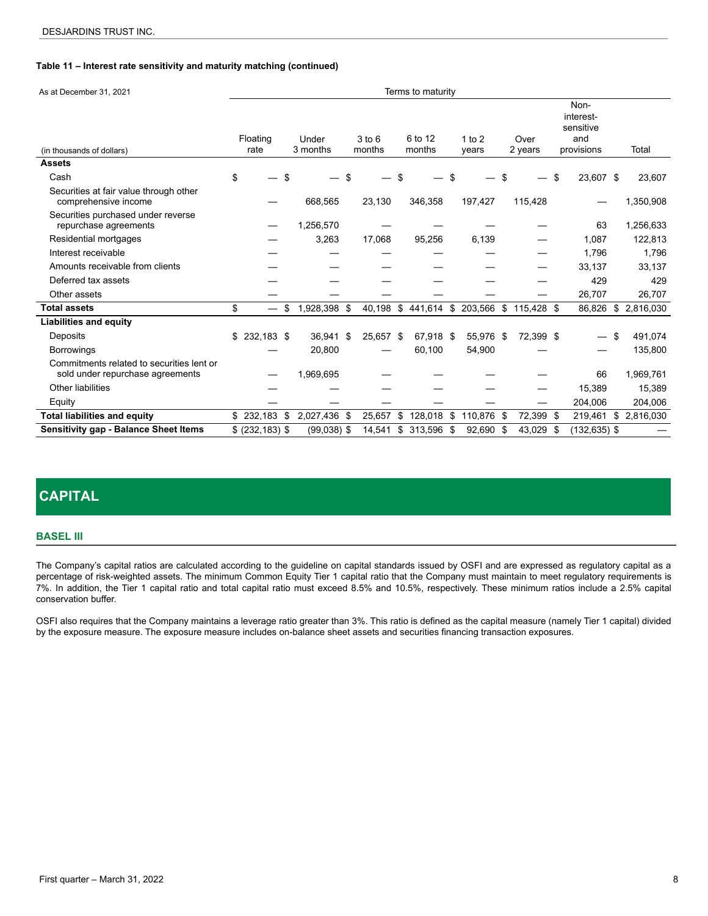#### <span id="page-7-0"></span>**Table 11 – Interest rate sensitivity and maturity matching (continued)**

| As at December 31, 2021                                                       |                                         |                    |     |                      | Terms to maturity |     |                     |    |                 |      |                                                     |    |           |
|-------------------------------------------------------------------------------|-----------------------------------------|--------------------|-----|----------------------|-------------------|-----|---------------------|----|-----------------|------|-----------------------------------------------------|----|-----------|
| (in thousands of dollars)                                                     | Floating<br>rate                        | Under<br>3 months  |     | $3$ to $6$<br>months | 6 to 12<br>months |     | $1$ to $2$<br>years |    | Over<br>2 years |      | Non-<br>interest-<br>sensitive<br>and<br>provisions |    | Total     |
| <b>Assets</b>                                                                 |                                         |                    |     |                      |                   |     |                     |    |                 |      |                                                     |    |           |
| Cash                                                                          | \$                                      | \$                 | \$  |                      | \$                | \$  |                     | \$ |                 | \$   | 23,607 \$                                           |    | 23,607    |
| Securities at fair value through other<br>comprehensive income                |                                         | 668,565            |     | 23,130               | 346,358           |     | 197,427             |    | 115,428         |      |                                                     |    | 1,350,908 |
| Securities purchased under reverse<br>repurchase agreements                   |                                         | 1,256,570          |     |                      |                   |     |                     |    |                 |      | 63                                                  |    | 1,256,633 |
| Residential mortgages                                                         |                                         | 3,263              |     | 17,068               | 95,256            |     | 6,139               |    |                 |      | 1,087                                               |    | 122,813   |
| Interest receivable                                                           |                                         |                    |     |                      |                   |     |                     |    |                 |      | 1,796                                               |    | 1,796     |
| Amounts receivable from clients                                               |                                         |                    |     |                      |                   |     |                     |    |                 |      | 33,137                                              |    | 33,137    |
| Deferred tax assets                                                           |                                         |                    |     |                      |                   |     |                     |    |                 |      | 429                                                 |    | 429       |
| Other assets                                                                  |                                         |                    |     |                      |                   |     |                     |    |                 |      | 26,707                                              |    | 26,707    |
| <b>Total assets</b>                                                           | \$<br>$\overbrace{\phantom{123221111}}$ | \$<br>1,928,398 \$ |     | 40,198 \$            | 441,614           | \$  | 203,566             | \$ | 115,428 \$      |      | 86,826                                              | \$ | 2,816,030 |
| <b>Liabilities and equity</b>                                                 |                                         |                    |     |                      |                   |     |                     |    |                 |      |                                                     |    |           |
| Deposits                                                                      | \$<br>232,183 \$                        | 36,941             | -\$ | 25,657 \$            | 67,918 \$         |     | 55,976 \$           |    | 72,399 \$       |      |                                                     | \$ | 491,074   |
| <b>Borrowings</b>                                                             |                                         | 20,800             |     |                      | 60,100            |     | 54,900              |    |                 |      |                                                     |    | 135,800   |
| Commitments related to securities lent or<br>sold under repurchase agreements |                                         | 1,969,695          |     |                      |                   |     |                     |    |                 |      | 66                                                  |    | 1,969,761 |
| <b>Other liabilities</b>                                                      |                                         |                    |     |                      |                   |     |                     |    |                 |      | 15,389                                              |    | 15,389    |
| Equity                                                                        |                                         |                    |     |                      |                   |     |                     |    |                 |      | 204,006                                             |    | 204,006   |
| <b>Total liabilities and equity</b>                                           | \$<br>232,183 \$                        | 2,027,436 \$       |     | 25,657               | \$<br>128,018     | \$  | 110,876 \$          |    | 72,399 \$       |      | 219,461                                             | S  | 2,816,030 |
| <b>Sensitivity gap - Balance Sheet Items</b>                                  | $$$ (232,183) \$                        | $(99,038)$ \$      |     | 14,541               | \$<br>313,596     | -\$ | 92,690              | -S | 43,029          | - \$ | $(132, 635)$ \$                                     |    |           |

## **CAPITAL**

#### **BASEL III**

The Company's capital ratios are calculated according to the guideline on capital standards issued by OSFI and are expressed as regulatory capital as a percentage of risk-weighted assets. The minimum Common Equity Tier 1 capital ratio that the Company must maintain to meet regulatory requirements is 7%. In addition, the Tier 1 capital ratio and total capital ratio must exceed 8.5% and 10.5%, respectively. These minimum ratios include a 2.5% capital conservation buffer.

OSFI also requires that the Company maintains a leverage ratio greater than 3%. This ratio is defined as the capital measure (namely Tier 1 capital) divided by the exposure measure. The exposure measure includes on-balance sheet assets and securities financing transaction exposures.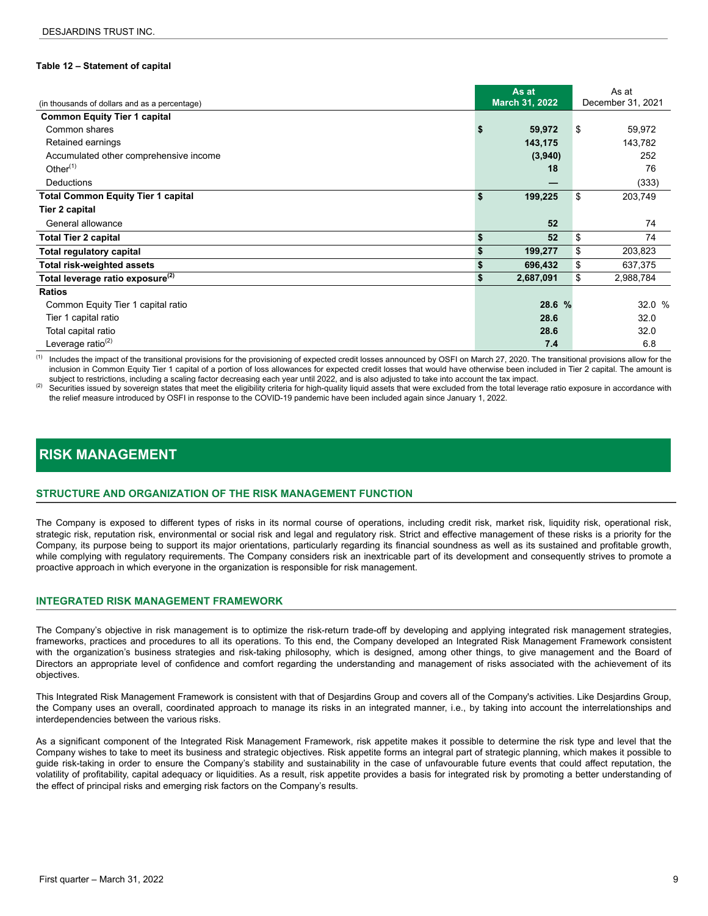#### <span id="page-8-0"></span>**Table 12 – Statement of capital**

|                                               | As at           | As at             |
|-----------------------------------------------|-----------------|-------------------|
| (in thousands of dollars and as a percentage) | March 31, 2022  | December 31, 2021 |
| <b>Common Equity Tier 1 capital</b>           |                 |                   |
| Common shares                                 | 59,972          | \$<br>59,972      |
| Retained earnings                             | 143,175         | 143,782           |
| Accumulated other comprehensive income        | (3,940)         | 252               |
| Other $(1)$                                   | 18              | 76                |
| <b>Deductions</b>                             |                 | (333)             |
| <b>Total Common Equity Tier 1 capital</b>     | \$<br>199,225   | \$<br>203,749     |
| Tier 2 capital                                |                 |                   |
| General allowance                             | 52              | 74                |
| <b>Total Tier 2 capital</b>                   | \$<br>52        | \$<br>74          |
| Total regulatory capital                      | \$<br>199,277   | \$<br>203,823     |
| Total risk-weighted assets                    | \$<br>696,432   | \$<br>637,375     |
| Total leverage ratio exposure <sup>(2)</sup>  | \$<br>2,687,091 | \$<br>2,988,784   |
| <b>Ratios</b>                                 |                 |                   |
| Common Equity Tier 1 capital ratio            | 28.6 %          | 32.0 %            |
| Tier 1 capital ratio                          | 28.6            | 32.0              |
| Total capital ratio                           | 28.6            | 32.0              |
| Leverage ratio <sup>(2)</sup>                 | 7.4             | 6.8               |

Includes the impact of the transitional provisions for the provisioning of expected credit losses announced by OSFI on March 27, 2020. The transitional provisions allow for the inclusion in Common Equity Tier 1 capital of a portion of loss allowances for expected credit losses that would have otherwise been included in Tier 2 capital. The amount is subject to restrictions, including a scaling factor decreasing each year until 2022, and is also adjusted to take into account the tax impact.

 $\frac{1}{2}$  Securities issued by sovereign states that meet the eligibility criteria for high-quality liquid assets that were excluded from the total leverage ratio exposure in accordance with  $\frac{1}{2}$ the relief measure introduced by OSFI in response to the COVID-19 pandemic have been included again since January 1, 2022.

### **RISK MANAGEMENT**

#### **STRUCTURE AND ORGANIZATION OF THE RISK MANAGEMENT FUNCTION**

The Company is exposed to different types of risks in its normal course of operations, including credit risk, market risk, liquidity risk, operational risk, strategic risk, reputation risk, environmental or social risk and legal and regulatory risk. Strict and effective management of these risks is a priority for the Company, its purpose being to support its major orientations, particularly regarding its financial soundness as well as its sustained and profitable growth, while complying with regulatory requirements. The Company considers risk an inextricable part of its development and consequently strives to promote a proactive approach in which everyone in the organization is responsible for risk management.

#### **INTEGRATED RISK MANAGEMENT FRAMEWORK**

The Company's objective in risk management is to optimize the risk-return trade-off by developing and applying integrated risk management strategies, frameworks, practices and procedures to all its operations. To this end, the Company developed an Integrated Risk Management Framework consistent with the organization's business strategies and risk-taking philosophy, which is designed, among other things, to give management and the Board of Directors an appropriate level of confidence and comfort regarding the understanding and management of risks associated with the achievement of its objectives.

This Integrated Risk Management Framework is consistent with that of Desjardins Group and covers all of the Company's activities. Like Desjardins Group, the Company uses an overall, coordinated approach to manage its risks in an integrated manner, i.e., by taking into account the interrelationships and interdependencies between the various risks.

As a significant component of the Integrated Risk Management Framework, risk appetite makes it possible to determine the risk type and level that the Company wishes to take to meet its business and strategic objectives. Risk appetite forms an integral part of strategic planning, which makes it possible to guide risk-taking in order to ensure the Company's stability and sustainability in the case of unfavourable future events that could affect reputation, the volatility of profitability, capital adequacy or liquidities. As a result, risk appetite provides a basis for integrated risk by promoting a better understanding of the effect of principal risks and emerging risk factors on the Company's results.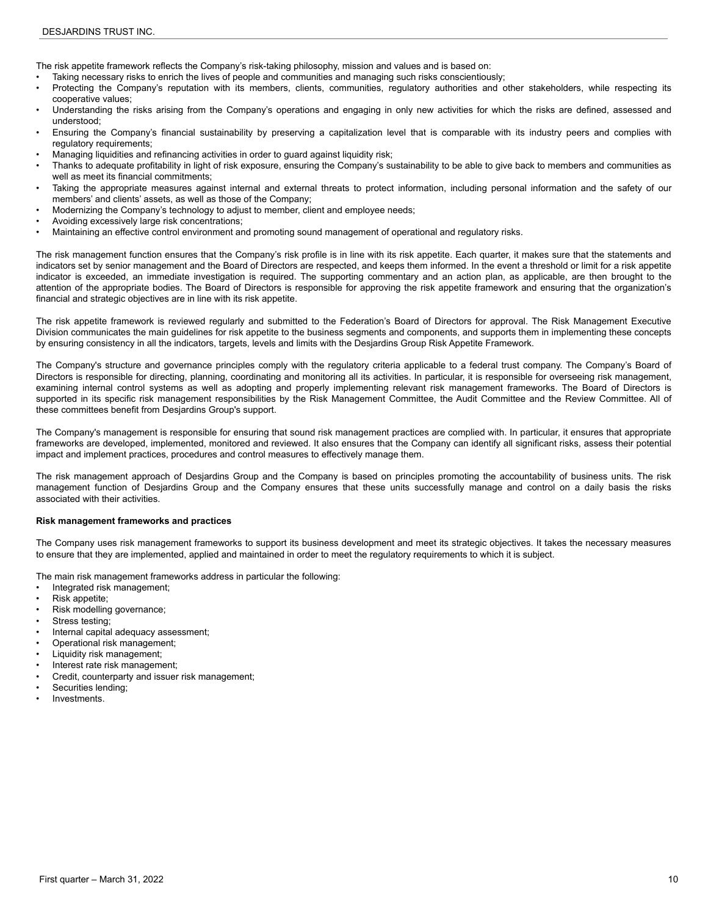The risk appetite framework reflects the Company's risk-taking philosophy, mission and values and is based on:

- Taking necessary risks to enrich the lives of people and communities and managing such risks conscientiously;
- Protecting the Company's reputation with its members, clients, communities, regulatory authorities and other stakeholders, while respecting its cooperative values;
- Understanding the risks arising from the Company's operations and engaging in only new activities for which the risks are defined, assessed and understood;
- Ensuring the Company's financial sustainability by preserving a capitalization level that is comparable with its industry peers and complies with regulatory requirements;
- Managing liquidities and refinancing activities in order to guard against liquidity risk;
- Thanks to adequate profitability in light of risk exposure, ensuring the Company's sustainability to be able to give back to members and communities as well as meet its financial commitments;
- Taking the appropriate measures against internal and external threats to protect information, including personal information and the safety of our members' and clients' assets, as well as those of the Company;
- Modernizing the Company's technology to adjust to member, client and employee needs;
- Avoiding excessively large risk concentrations;
- Maintaining an effective control environment and promoting sound management of operational and regulatory risks.

The risk management function ensures that the Company's risk profile is in line with its risk appetite. Each quarter, it makes sure that the statements and indicators set by senior management and the Board of Directors are respected, and keeps them informed. In the event a threshold or limit for a risk appetite indicator is exceeded, an immediate investigation is required. The supporting commentary and an action plan, as applicable, are then brought to the attention of the appropriate bodies. The Board of Directors is responsible for approving the risk appetite framework and ensuring that the organization's financial and strategic objectives are in line with its risk appetite.

The risk appetite framework is reviewed regularly and submitted to the Federation's Board of Directors for approval. The Risk Management Executive Division communicates the main guidelines for risk appetite to the business segments and components, and supports them in implementing these concepts by ensuring consistency in all the indicators, targets, levels and limits with the Desjardins Group Risk Appetite Framework.

The Company's structure and governance principles comply with the regulatory criteria applicable to a federal trust company. The Company's Board of Directors is responsible for directing, planning, coordinating and monitoring all its activities. In particular, it is responsible for overseeing risk management, examining internal control systems as well as adopting and properly implementing relevant risk management frameworks. The Board of Directors is supported in its specific risk management responsibilities by the Risk Management Committee, the Audit Committee and the Review Committee. All of these committees benefit from Desjardins Group's support.

The Company's management is responsible for ensuring that sound risk management practices are complied with. In particular, it ensures that appropriate frameworks are developed, implemented, monitored and reviewed. It also ensures that the Company can identify all significant risks, assess their potential impact and implement practices, procedures and control measures to effectively manage them.

The risk management approach of Desjardins Group and the Company is based on principles promoting the accountability of business units. The risk management function of Desjardins Group and the Company ensures that these units successfully manage and control on a daily basis the risks associated with their activities.

#### **Risk management frameworks and practices**

The Company uses risk management frameworks to support its business development and meet its strategic objectives. It takes the necessary measures to ensure that they are implemented, applied and maintained in order to meet the regulatory requirements to which it is subject.

The main risk management frameworks address in particular the following:

- Integrated risk management;
- Risk appetite;
- Risk modelling governance;
- Stress testing;
- Internal capital adequacy assessment;
- Operational risk management;
- Liquidity risk management;
- Interest rate risk management;
- Credit, counterparty and issuer risk management;
- Securities lending;
- Investments.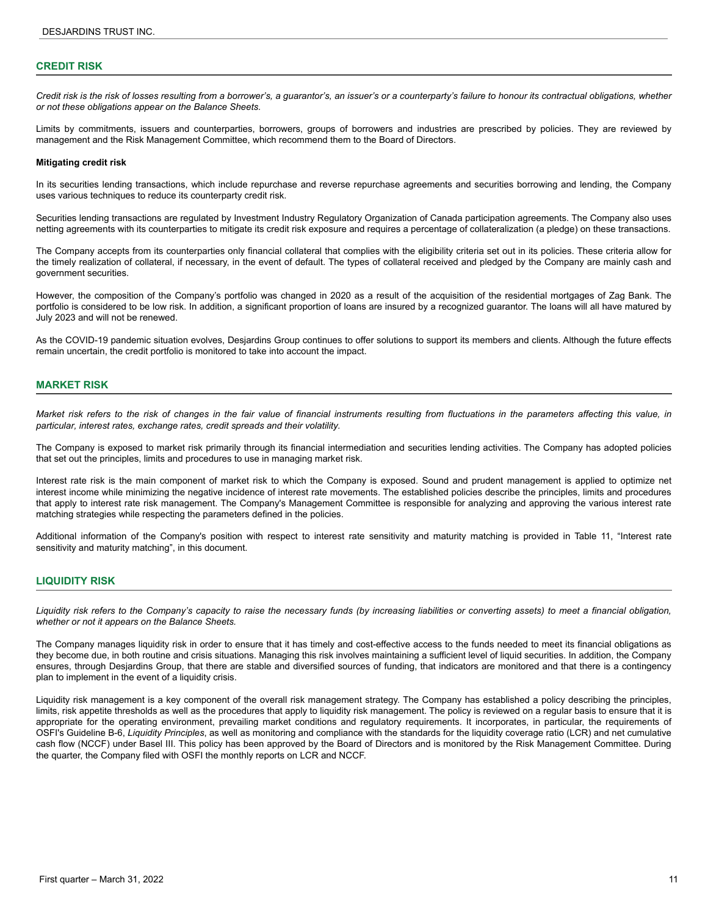#### <span id="page-10-0"></span>**CREDIT RISK**

*Credit risk is the risk of losses resulting from a borrower's, a guarantor's, an issuer's or a counterparty's failure to honour its contractual obligations, whether or not these obligations appear on the Balance Sheets.*

Limits by commitments, issuers and counterparties, borrowers, groups of borrowers and industries are prescribed by policies. They are reviewed by management and the Risk Management Committee, which recommend them to the Board of Directors.

#### **Mitigating credit risk**

In its securities lending transactions, which include repurchase and reverse repurchase agreements and securities borrowing and lending, the Company uses various techniques to reduce its counterparty credit risk.

Securities lending transactions are regulated by Investment Industry Regulatory Organization of Canada participation agreements. The Company also uses netting agreements with its counterparties to mitigate its credit risk exposure and requires a percentage of collateralization (a pledge) on these transactions.

The Company accepts from its counterparties only financial collateral that complies with the eligibility criteria set out in its policies. These criteria allow for the timely realization of collateral, if necessary, in the event of default. The types of collateral received and pledged by the Company are mainly cash and government securities.

However, the composition of the Company's portfolio was changed in 2020 as a result of the acquisition of the residential mortgages of Zag Bank. The portfolio is considered to be low risk. In addition, a significant proportion of loans are insured by a recognized guarantor. The loans will all have matured by July 2023 and will not be renewed.

As the COVID-19 pandemic situation evolves, Desjardins Group continues to offer solutions to support its members and clients. Although the future effects remain uncertain, the credit portfolio is monitored to take into account the impact.

#### **MARKET RISK**

Market risk refers to the risk of changes in the fair value of financial instruments resulting from fluctuations in the parameters affecting this value, in *particular, interest rates, exchange rates, credit spreads and their volatility.*

The Company is exposed to market risk primarily through its financial intermediation and securities lending activities. The Company has adopted policies that set out the principles, limits and procedures to use in managing market risk.

Interest rate risk is the main component of market risk to which the Company is exposed. Sound and prudent management is applied to optimize net interest income while minimizing the negative incidence of interest rate movements. The established policies describe the principles, limits and procedures that apply to interest rate risk management. The Company's Management Committee is responsible for analyzing and approving the various interest rate matching strategies while respecting the parameters defined in the policies.

Additional information of the Company's position with respect to interest rate sensitivity and maturity matching is provided in Table 11, "Interest rate sensitivity and maturity matching", in this document.

#### **LIQUIDITY RISK**

*Liquidity risk refers to the Company's capacity to raise the necessary funds (by increasing liabilities or converting assets) to meet a financial obligation, whether or not it appears on the Balance Sheets.*

The Company manages liquidity risk in order to ensure that it has timely and cost-effective access to the funds needed to meet its financial obligations as they become due, in both routine and crisis situations. Managing this risk involves maintaining a sufficient level of liquid securities. In addition, the Company ensures, through Desjardins Group, that there are stable and diversified sources of funding, that indicators are monitored and that there is a contingency plan to implement in the event of a liquidity crisis.

Liquidity risk management is a key component of the overall risk management strategy. The Company has established a policy describing the principles, limits, risk appetite thresholds as well as the procedures that apply to liquidity risk management. The policy is reviewed on a regular basis to ensure that it is appropriate for the operating environment, prevailing market conditions and regulatory requirements. It incorporates, in particular, the requirements of OSFI's Guideline B-6, *Liquidity Principles*, as well as monitoring and compliance with the standards for the liquidity coverage ratio (LCR) and net cumulative cash flow (NCCF) under Basel III. This policy has been approved by the Board of Directors and is monitored by the Risk Management Committee. During the quarter, the Company filed with OSFI the monthly reports on LCR and NCCF.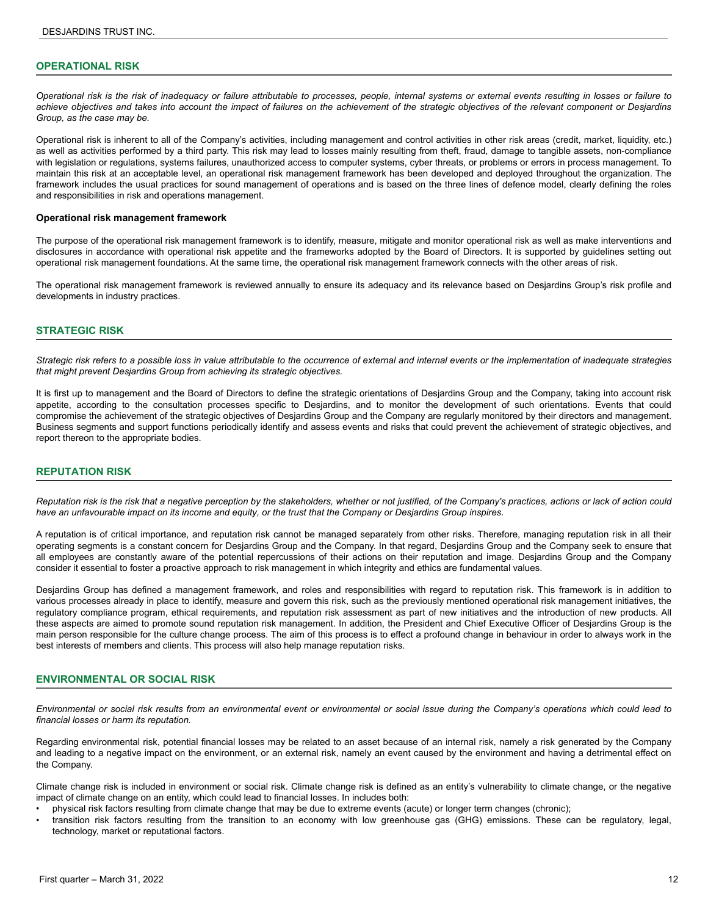#### <span id="page-11-0"></span>**OPERATIONAL RISK**

*Operational risk is the risk of inadequacy or failure attributable to processes, people, internal systems or external events resulting in losses or failure to achieve objectives and takes into account the impact of failures on the achievement of the strategic objectives of the relevant component or Desjardins Group, as the case may be.*

Operational risk is inherent to all of the Company's activities, including management and control activities in other risk areas (credit, market, liquidity, etc.) as well as activities performed by a third party. This risk may lead to losses mainly resulting from theft, fraud, damage to tangible assets, non-compliance with legislation or regulations, systems failures, unauthorized access to computer systems, cyber threats, or problems or errors in process management. To maintain this risk at an acceptable level, an operational risk management framework has been developed and deployed throughout the organization. The framework includes the usual practices for sound management of operations and is based on the three lines of defence model, clearly defining the roles and responsibilities in risk and operations management.

#### **Operational risk management framework**

The purpose of the operational risk management framework is to identify, measure, mitigate and monitor operational risk as well as make interventions and disclosures in accordance with operational risk appetite and the frameworks adopted by the Board of Directors. It is supported by guidelines setting out operational risk management foundations. At the same time, the operational risk management framework connects with the other areas of risk.

The operational risk management framework is reviewed annually to ensure its adequacy and its relevance based on Desjardins Group's risk profile and developments in industry practices.

#### **STRATEGIC RISK**

*Strategic risk refers to a possible loss in value attributable to the occurrence of external and internal events or the implementation of inadequate strategies that might prevent Desjardins Group from achieving its strategic objectives.*

It is first up to management and the Board of Directors to define the strategic orientations of Desjardins Group and the Company, taking into account risk appetite, according to the consultation processes specific to Desjardins, and to monitor the development of such orientations. Events that could compromise the achievement of the strategic objectives of Desjardins Group and the Company are regularly monitored by their directors and management. Business segments and support functions periodically identify and assess events and risks that could prevent the achievement of strategic objectives, and report thereon to the appropriate bodies.

#### **REPUTATION RISK**

*Reputation risk is the risk that a negative perception by the stakeholders, whether or not justified, of the Company's practices, actions or lack of action could have an unfavourable impact on its income and equity, or the trust that the Company or Desjardins Group inspires.*

A reputation is of critical importance, and reputation risk cannot be managed separately from other risks. Therefore, managing reputation risk in all their operating segments is a constant concern for Desjardins Group and the Company. In that regard, Desjardins Group and the Company seek to ensure that all employees are constantly aware of the potential repercussions of their actions on their reputation and image. Desjardins Group and the Company consider it essential to foster a proactive approach to risk management in which integrity and ethics are fundamental values.

Desjardins Group has defined a management framework, and roles and responsibilities with regard to reputation risk. This framework is in addition to various processes already in place to identify, measure and govern this risk, such as the previously mentioned operational risk management initiatives, the regulatory compliance program, ethical requirements, and reputation risk assessment as part of new initiatives and the introduction of new products. All these aspects are aimed to promote sound reputation risk management. In addition, the President and Chief Executive Officer of Desjardins Group is the main person responsible for the culture change process. The aim of this process is to effect a profound change in behaviour in order to always work in the best interests of members and clients. This process will also help manage reputation risks.

#### **ENVIRONMENTAL OR SOCIAL RISK**

*Environmental or social risk results from an environmental event or environmental or social issue during the Company's operations which could lead to financial losses or harm its reputation.*

Regarding environmental risk, potential financial losses may be related to an asset because of an internal risk, namely a risk generated by the Company and leading to a negative impact on the environment, or an external risk, namely an event caused by the environment and having a detrimental effect on the Company.

Climate change risk is included in environment or social risk. Climate change risk is defined as an entity's vulnerability to climate change, or the negative impact of climate change on an entity, which could lead to financial losses. In includes both:

- physical risk factors resulting from climate change that may be due to extreme events (acute) or longer term changes (chronic);
- transition risk factors resulting from the transition to an economy with low greenhouse gas (GHG) emissions. These can be regulatory, legal, technology, market or reputational factors.